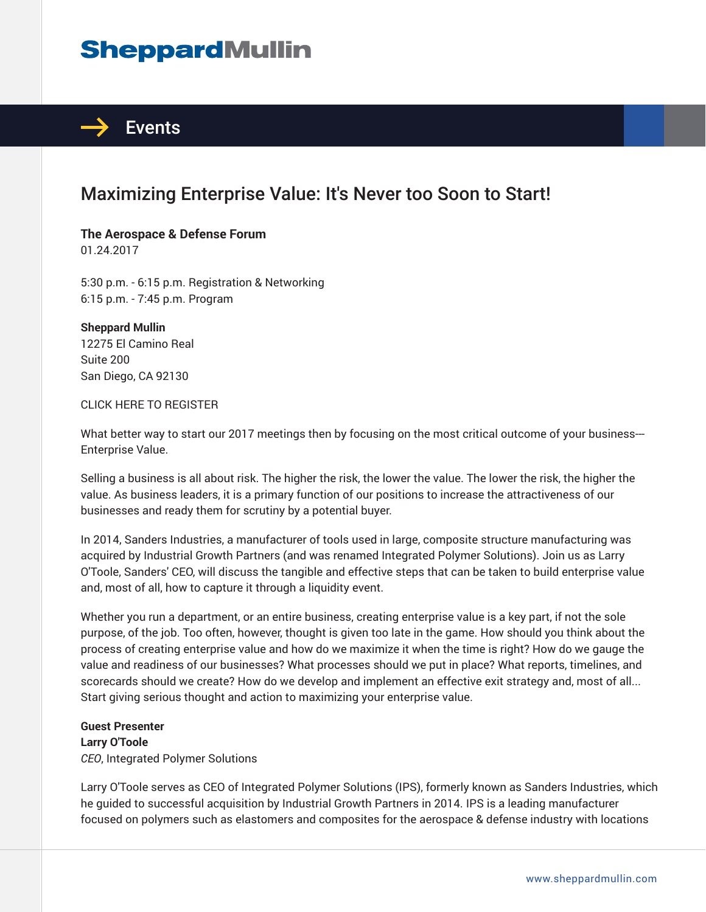# **SheppardMullin**



## Maximizing Enterprise Value: It's Never too Soon to Start!

**The Aerospace & Defense Forum** 01.24.2017

5:30 p.m. - 6:15 p.m. Registration & Networking 6:15 p.m. - 7:45 p.m. Program

**Sheppard Mullin** 12275 El Camino Real Suite 200 San Diego, CA 92130

#### CLICK HERE TO REGISTER

What better way to start our 2017 meetings then by focusing on the most critical outcome of your business---Enterprise Value.

Selling a business is all about risk. The higher the risk, the lower the value. The lower the risk, the higher the value. As business leaders, it is a primary function of our positions to increase the attractiveness of our businesses and ready them for scrutiny by a potential buyer.

In 2014, Sanders Industries, a manufacturer of tools used in large, composite structure manufacturing was acquired by Industrial Growth Partners (and was renamed Integrated Polymer Solutions). Join us as Larry O'Toole, Sanders' CEO, will discuss the tangible and effective steps that can be taken to build enterprise value and, most of all, how to capture it through a liquidity event.

Whether you run a department, or an entire business, creating enterprise value is a key part, if not the sole purpose, of the job. Too often, however, thought is given too late in the game. How should you think about the process of creating enterprise value and how do we maximize it when the time is right? How do we gauge the value and readiness of our businesses? What processes should we put in place? What reports, timelines, and scorecards should we create? How do we develop and implement an effective exit strategy and, most of all... Start giving serious thought and action to maximizing your enterprise value.

**Guest Presenter Larry O'Toole** *CEO*, Integrated Polymer Solutions

Larry O'Toole serves as CEO of Integrated Polymer Solutions (IPS), formerly known as Sanders Industries, which he guided to successful acquisition by Industrial Growth Partners in 2014. IPS is a leading manufacturer focused on polymers such as elastomers and composites for the aerospace & defense industry with locations